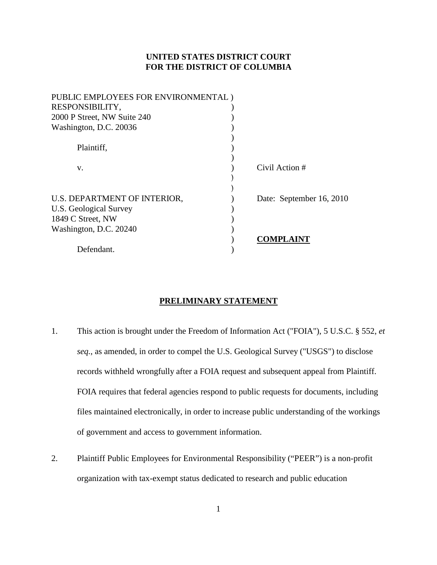# **UNITED STATES DISTRICT COURT FOR THE DISTRICT OF COLUMBIA**

| PUBLIC EMPLOYEES FOR ENVIRONMENTAL) |                          |
|-------------------------------------|--------------------------|
| RESPONSIBILITY,                     |                          |
| 2000 P Street, NW Suite 240         |                          |
| Washington, D.C. 20036              |                          |
|                                     |                          |
| Plaintiff,                          |                          |
|                                     |                          |
| V.                                  | Civil Action #           |
|                                     |                          |
|                                     |                          |
| U.S. DEPARTMENT OF INTERIOR,        | Date: September 16, 2010 |
| <b>U.S. Geological Survey</b>       |                          |
| 1849 C Street, NW                   |                          |
| Washington, D.C. 20240              |                          |
|                                     | COMPLAINT                |
| Defendant.                          |                          |

## **PRELIMINARY STATEMENT**

- 1. This action is brought under the Freedom of Information Act ("FOIA"), 5 U.S.C. § 552, *et seq.*, as amended, in order to compel the U.S. Geological Survey ("USGS") to disclose records withheld wrongfully after a FOIA request and subsequent appeal from Plaintiff. FOIA requires that federal agencies respond to public requests for documents, including files maintained electronically, in order to increase public understanding of the workings of government and access to government information.
- 2. Plaintiff Public Employees for Environmental Responsibility ("PEER") is a non-profit organization with tax-exempt status dedicated to research and public education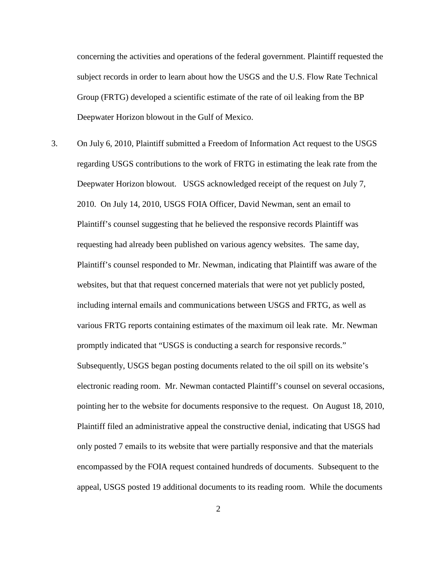concerning the activities and operations of the federal government. Plaintiff requested the subject records in order to learn about how the USGS and the U.S. Flow Rate Technical Group (FRTG) developed a scientific estimate of the rate of oil leaking from the BP Deepwater Horizon blowout in the Gulf of Mexico.

3. On July 6, 2010, Plaintiff submitted a Freedom of Information Act request to the USGS regarding USGS contributions to the work of FRTG in estimating the leak rate from the Deepwater Horizon blowout. USGS acknowledged receipt of the request on July 7, 2010. On July 14, 2010, USGS FOIA Officer, David Newman, sent an email to Plaintiff's counsel suggesting that he believed the responsive records Plaintiff was requesting had already been published on various agency websites. The same day, Plaintiff's counsel responded to Mr. Newman, indicating that Plaintiff was aware of the websites, but that that request concerned materials that were not yet publicly posted, including internal emails and communications between USGS and FRTG, as well as various FRTG reports containing estimates of the maximum oil leak rate. Mr. Newman promptly indicated that "USGS is conducting a search for responsive records." Subsequently, USGS began posting documents related to the oil spill on its website's electronic reading room. Mr. Newman contacted Plaintiff's counsel on several occasions, pointing her to the website for documents responsive to the request. On August 18, 2010, Plaintiff filed an administrative appeal the constructive denial, indicating that USGS had only posted 7 emails to its website that were partially responsive and that the materials encompassed by the FOIA request contained hundreds of documents. Subsequent to the appeal, USGS posted 19 additional documents to its reading room. While the documents

2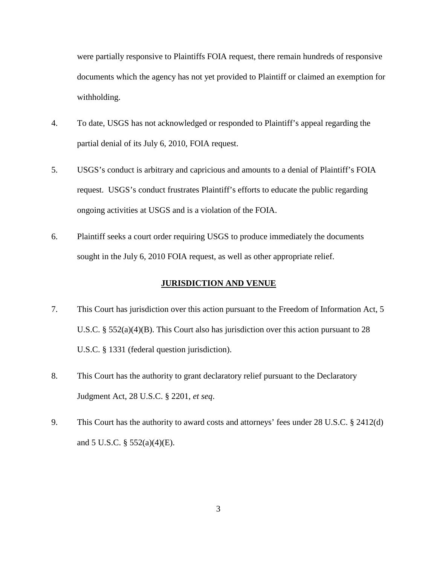were partially responsive to Plaintiffs FOIA request, there remain hundreds of responsive documents which the agency has not yet provided to Plaintiff or claimed an exemption for withholding.

- 4. To date, USGS has not acknowledged or responded to Plaintiff's appeal regarding the partial denial of its July 6, 2010, FOIA request.
- 5. USGS's conduct is arbitrary and capricious and amounts to a denial of Plaintiff's FOIA request. USGS's conduct frustrates Plaintiff's efforts to educate the public regarding ongoing activities at USGS and is a violation of the FOIA.
- 6. Plaintiff seeks a court order requiring USGS to produce immediately the documents sought in the July 6, 2010 FOIA request, as well as other appropriate relief.

### **JURISDICTION AND VENUE**

- 7. This Court has jurisdiction over this action pursuant to the Freedom of Information Act, 5 U.S.C. § 552(a)(4)(B). This Court also has jurisdiction over this action pursuant to 28 U.S.C. § 1331 (federal question jurisdiction).
- 8. This Court has the authority to grant declaratory relief pursuant to the Declaratory Judgment Act, 28 U.S.C. § 2201, *et seq*.
- 9. This Court has the authority to award costs and attorneys' fees under 28 U.S.C. § 2412(d) and 5 U.S.C. § 552(a)(4)(E).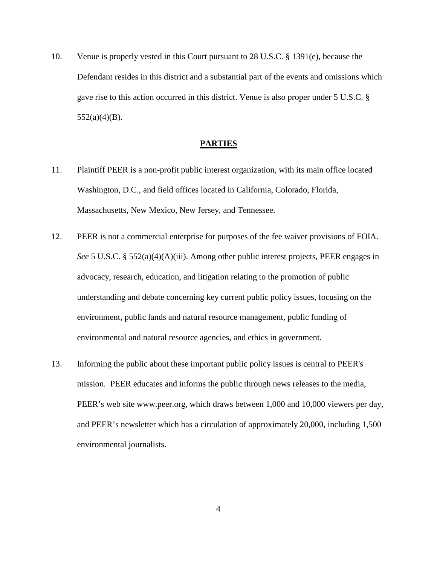10. Venue is properly vested in this Court pursuant to 28 U.S.C. § 1391(e), because the Defendant resides in this district and a substantial part of the events and omissions which gave rise to this action occurred in this district. Venue is also proper under 5 U.S.C. §  $552(a)(4)(B)$ .

#### **PARTIES**

- 11. Plaintiff PEER is a non-profit public interest organization, with its main office located Washington, D.C., and field offices located in California, Colorado, Florida, Massachusetts, New Mexico, New Jersey, and Tennessee.
- 12. PEER is not a commercial enterprise for purposes of the fee waiver provisions of FOIA. *See* 5 U.S.C. § 552(a)(4)(A)(iii). Among other public interest projects, PEER engages in advocacy, research, education, and litigation relating to the promotion of public understanding and debate concerning key current public policy issues, focusing on the environment, public lands and natural resource management, public funding of environmental and natural resource agencies, and ethics in government.
- 13. Informing the public about these important public policy issues is central to PEER's mission. PEER educates and informs the public through news releases to the media, PEER's web site www.peer.org, which draws between 1,000 and 10,000 viewers per day, and PEER's newsletter which has a circulation of approximately 20,000, including 1,500 environmental journalists.

4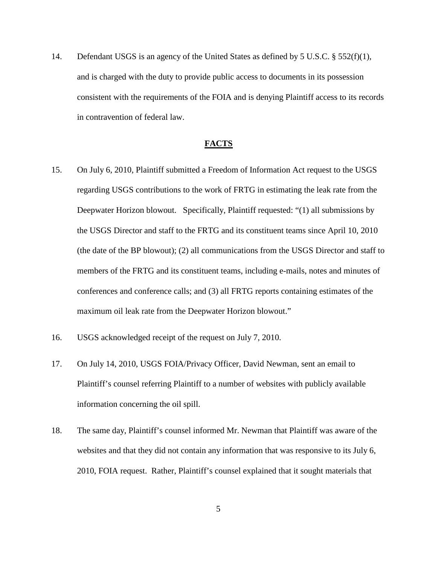14. Defendant USGS is an agency of the United States as defined by 5 U.S.C. § 552(f)(1), and is charged with the duty to provide public access to documents in its possession consistent with the requirements of the FOIA and is denying Plaintiff access to its records in contravention of federal law.

#### **FACTS**

- 15. On July 6, 2010, Plaintiff submitted a Freedom of Information Act request to the USGS regarding USGS contributions to the work of FRTG in estimating the leak rate from the Deepwater Horizon blowout. Specifically, Plaintiff requested: "(1) all submissions by the USGS Director and staff to the FRTG and its constituent teams since April 10, 2010 (the date of the BP blowout); (2) all communications from the USGS Director and staff to members of the FRTG and its constituent teams, including e-mails, notes and minutes of conferences and conference calls; and (3) all FRTG reports containing estimates of the maximum oil leak rate from the Deepwater Horizon blowout."
- 16. USGS acknowledged receipt of the request on July 7, 2010.
- 17. On July 14, 2010, USGS FOIA/Privacy Officer, David Newman, sent an email to Plaintiff's counsel referring Plaintiff to a number of websites with publicly available information concerning the oil spill.
- 18. The same day, Plaintiff's counsel informed Mr. Newman that Plaintiff was aware of the websites and that they did not contain any information that was responsive to its July 6, 2010, FOIA request. Rather, Plaintiff's counsel explained that it sought materials that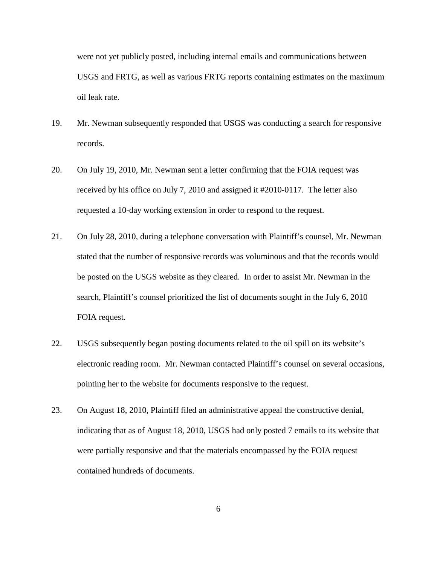were not yet publicly posted, including internal emails and communications between USGS and FRTG, as well as various FRTG reports containing estimates on the maximum oil leak rate.

- 19. Mr. Newman subsequently responded that USGS was conducting a search for responsive records.
- 20. On July 19, 2010, Mr. Newman sent a letter confirming that the FOIA request was received by his office on July 7, 2010 and assigned it #2010-0117. The letter also requested a 10-day working extension in order to respond to the request.
- 21. On July 28, 2010, during a telephone conversation with Plaintiff's counsel, Mr. Newman stated that the number of responsive records was voluminous and that the records would be posted on the USGS website as they cleared. In order to assist Mr. Newman in the search, Plaintiff's counsel prioritized the list of documents sought in the July 6, 2010 FOIA request.
- 22. USGS subsequently began posting documents related to the oil spill on its website's electronic reading room. Mr. Newman contacted Plaintiff's counsel on several occasions, pointing her to the website for documents responsive to the request.
- 23. On August 18, 2010, Plaintiff filed an administrative appeal the constructive denial, indicating that as of August 18, 2010, USGS had only posted 7 emails to its website that were partially responsive and that the materials encompassed by the FOIA request contained hundreds of documents.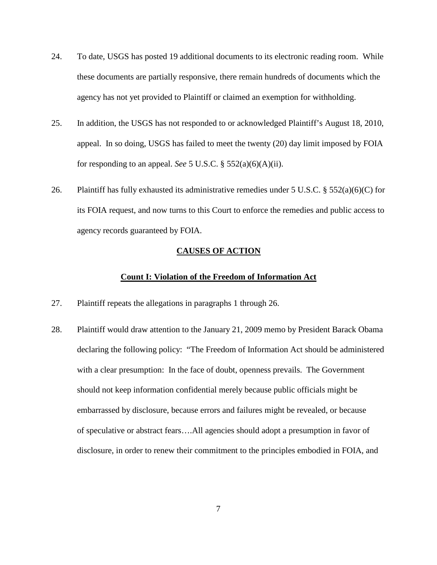- 24. To date, USGS has posted 19 additional documents to its electronic reading room. While these documents are partially responsive, there remain hundreds of documents which the agency has not yet provided to Plaintiff or claimed an exemption for withholding.
- 25. In addition, the USGS has not responded to or acknowledged Plaintiff's August 18, 2010, appeal. In so doing, USGS has failed to meet the twenty (20) day limit imposed by FOIA for responding to an appeal. *See* 5 U.S.C. § 552(a)(6)(A)(ii).
- 26. Plaintiff has fully exhausted its administrative remedies under 5 U.S.C. § 552(a)(6)(C) for its FOIA request, and now turns to this Court to enforce the remedies and public access to agency records guaranteed by FOIA.

## **CAUSES OF ACTION**

#### **Count I: Violation of the Freedom of Information Act**

- 27. Plaintiff repeats the allegations in paragraphs 1 through 26.
- 28. Plaintiff would draw attention to the January 21, 2009 memo by President Barack Obama declaring the following policy: "The Freedom of Information Act should be administered with a clear presumption: In the face of doubt, openness prevails. The Government should not keep information confidential merely because public officials might be embarrassed by disclosure, because errors and failures might be revealed, or because of speculative or abstract fears….All agencies should adopt a presumption in favor of disclosure, in order to renew their commitment to the principles embodied in FOIA, and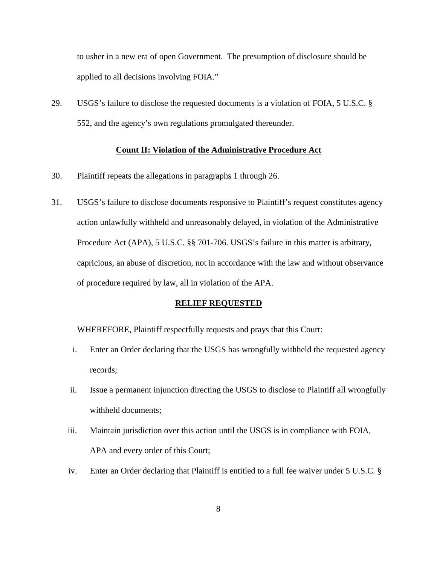to usher in a new era of open Government. The presumption of disclosure should be applied to all decisions involving FOIA."

29. USGS's failure to disclose the requested documents is a violation of FOIA, 5 U.S.C. § 552, and the agency's own regulations promulgated thereunder.

# **Count II: Violation of the Administrative Procedure Act**

- 30. Plaintiff repeats the allegations in paragraphs 1 through 26.
- 31. USGS's failure to disclose documents responsive to Plaintiff's request constitutes agency action unlawfully withheld and unreasonably delayed, in violation of the Administrative Procedure Act (APA), 5 U.S.C. §§ 701-706. USGS's failure in this matter is arbitrary, capricious, an abuse of discretion, not in accordance with the law and without observance of procedure required by law, all in violation of the APA.

### **RELIEF REQUESTED**

WHEREFORE, Plaintiff respectfully requests and prays that this Court:

- i. Enter an Order declaring that the USGS has wrongfully withheld the requested agency records;
- ii. Issue a permanent injunction directing the USGS to disclose to Plaintiff all wrongfully withheld documents;
- iii. Maintain jurisdiction over this action until the USGS is in compliance with FOIA, APA and every order of this Court;
- iv. Enter an Order declaring that Plaintiff is entitled to a full fee waiver under 5 U.S.C. §